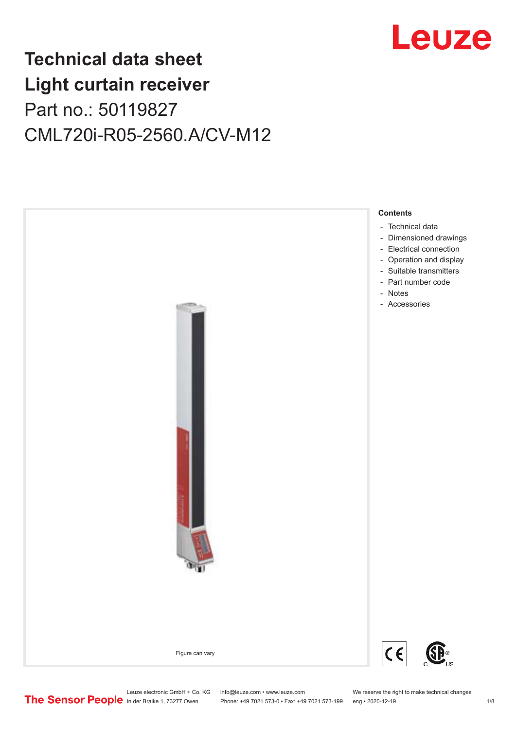

# **Technical data sheet Light curtain receiver** Part no.: 50119827 CML720i-R05-2560.A/CV-M12



Leuze electronic GmbH + Co. KG info@leuze.com • www.leuze.com We reserve the right to make technical changes<br>
The Sensor People in der Braike 1, 73277 Owen Phone: +49 7021 573-0 • Fax: +49 7021 573-199 eng • 2020-12-19

Phone: +49 7021 573-0 • Fax: +49 7021 573-199 eng • 2020-12-19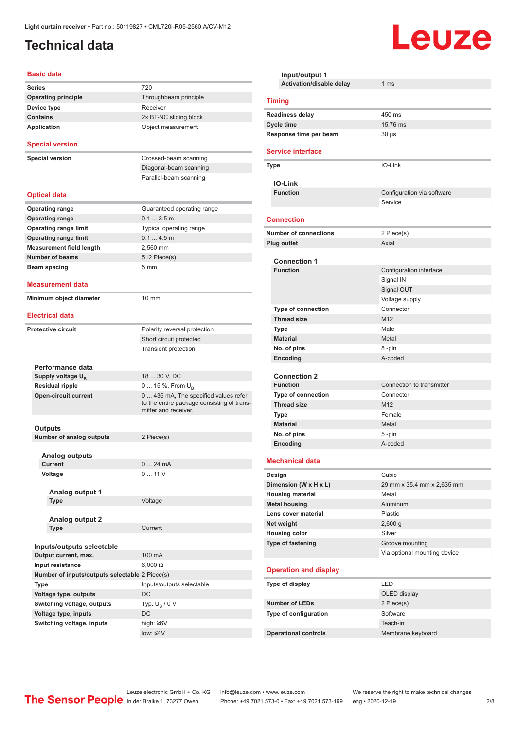# <span id="page-1-0"></span>**Technical data**

#### **Basic data**

| Series                                         | 720                                                                                                        |
|------------------------------------------------|------------------------------------------------------------------------------------------------------------|
| <b>Operating principle</b>                     | Throughbeam principle                                                                                      |
| Device type                                    | Receiver                                                                                                   |
| <b>Contains</b>                                | 2x BT-NC sliding block                                                                                     |
| Application                                    | Object measurement                                                                                         |
|                                                |                                                                                                            |
| <b>Special version</b>                         |                                                                                                            |
| <b>Special version</b>                         | Crossed-beam scanning                                                                                      |
|                                                | Diagonal-beam scanning                                                                                     |
|                                                | Parallel-beam scanning                                                                                     |
| <b>Optical data</b>                            |                                                                                                            |
| <b>Operating range</b>                         | Guaranteed operating range                                                                                 |
| <b>Operating range</b>                         | $0.13.5$ m                                                                                                 |
| <b>Operating range limit</b>                   | Typical operating range                                                                                    |
| <b>Operating range limit</b>                   | 0.14.5m                                                                                                    |
| <b>Measurement field length</b>                | 2,560 mm                                                                                                   |
| <b>Number of beams</b>                         | 512 Piece(s)                                                                                               |
|                                                | 5 mm                                                                                                       |
| Beam spacing                                   |                                                                                                            |
| Measurement data                               |                                                                                                            |
|                                                |                                                                                                            |
| Minimum object diameter                        | $10 \text{ mm}$                                                                                            |
|                                                |                                                                                                            |
| <b>Electrical data</b>                         |                                                                                                            |
| <b>Protective circuit</b>                      | Polarity reversal protection                                                                               |
|                                                | Short circuit protected                                                                                    |
|                                                | <b>Transient protection</b>                                                                                |
|                                                |                                                                                                            |
| Performance data                               |                                                                                                            |
| Supply voltage U <sub>B</sub>                  | 18  30 V, DC                                                                                               |
| Residual ripple                                | 0  15 %, From U <sub>B</sub>                                                                               |
| <b>Open-circuit current</b>                    | 0 435 mA, The specified values refer<br>to the entire package consisting of trans-<br>mitter and receiver. |
|                                                |                                                                                                            |
| Outputs                                        |                                                                                                            |
| Number of analog outputs                       | 2 Piece(s)                                                                                                 |
| <b>Analog outputs</b>                          |                                                                                                            |
| <b>Current</b>                                 | 0  24 mA                                                                                                   |
| Voltage                                        | 011V                                                                                                       |
|                                                |                                                                                                            |
| Analog output 1                                |                                                                                                            |
| Type                                           | Voltage                                                                                                    |
|                                                |                                                                                                            |
| <b>Analog output 2</b><br>Type                 | Current                                                                                                    |
|                                                |                                                                                                            |
| Inputs/outputs selectable                      |                                                                                                            |
| Output current, max.                           | 100 mA                                                                                                     |
| Input resistance                               | $6,000 \Omega$                                                                                             |
|                                                |                                                                                                            |
| Number of inputs/outputs selectable 2 Piece(s) |                                                                                                            |
| Type                                           | Inputs/outputs selectable                                                                                  |
| Voltage type, outputs                          | DC                                                                                                         |
| Switching voltage, outputs                     | Typ. $U_R / 0 V$                                                                                           |
| Voltage type, inputs                           | DC                                                                                                         |
| Switching voltage, inputs                      | high: ≥6V                                                                                                  |
|                                                | $low: 4V$                                                                                                  |
|                                                |                                                                                                            |

| Input/output 1                     |                              |  |
|------------------------------------|------------------------------|--|
| Activation/disable delay           | 1 <sub>ms</sub>              |  |
| <b>Timing</b>                      |                              |  |
| <b>Readiness delay</b>             | 450 ms                       |  |
| <b>Cycle time</b>                  | 15.76 ms                     |  |
| Response time per beam             | 30 µs                        |  |
| <b>Service interface</b>           |                              |  |
| <b>Type</b>                        | IO-Link                      |  |
| <b>IO-Link</b>                     |                              |  |
| <b>Function</b>                    | Configuration via software   |  |
|                                    | Service                      |  |
| <b>Connection</b>                  |                              |  |
| <b>Number of connections</b>       | 2 Piece(s)                   |  |
| <b>Plug outlet</b>                 | Axial                        |  |
|                                    |                              |  |
| <b>Connection 1</b>                |                              |  |
| <b>Function</b>                    | Configuration interface      |  |
|                                    | Signal IN                    |  |
|                                    | Signal OUT                   |  |
| Type of connection                 | Voltage supply<br>Connector  |  |
| <b>Thread size</b>                 | M12                          |  |
| Type                               | Male                         |  |
| <b>Material</b>                    | Metal                        |  |
| No. of pins                        | 8-pin                        |  |
| Encoding                           | A-coded                      |  |
|                                    |                              |  |
| <b>Connection 2</b>                |                              |  |
| <b>Function</b>                    | Connection to transmitter    |  |
| <b>Type of connection</b>          | Connector                    |  |
| <b>Thread size</b>                 | M <sub>12</sub>              |  |
| <b>Type</b>                        | Female                       |  |
| <b>Material</b>                    | Metal                        |  |
| No. of pins                        | 5-pin<br>A-coded             |  |
| Encoding                           |                              |  |
| <b>Mechanical data</b>             |                              |  |
| Design                             | Cubic                        |  |
| Dimension (W x H x L)              | 29 mm x 35.4 mm x 2,635 mm   |  |
| <b>Housing material</b>            | Metal                        |  |
| <b>Metal housing</b>               | Aluminum                     |  |
| Lens cover material                | Plastic                      |  |
| Net weight<br><b>Housing color</b> | $2,600$ g<br>Silver          |  |
| Type of fastening                  | Groove mounting              |  |
|                                    | Via optional mounting device |  |
|                                    |                              |  |
| <b>Operation and display</b>       |                              |  |
| Type of display                    | LED                          |  |
|                                    | OLED display                 |  |
| <b>Number of LEDs</b>              | 2 Piece(s)                   |  |
| Type of configuration              | Software                     |  |
|                                    | Teach-in                     |  |
| <b>Operational controls</b>        | Membrane keyboard            |  |

Leuze

Leuze electronic GmbH + Co. KG info@leuze.com • www.leuze.com We reserve the right to make technical changes ln der Braike 1, 73277 Owen Phone: +49 7021 573-0 • Fax: +49 7021 573-199 eng • 2020-12-19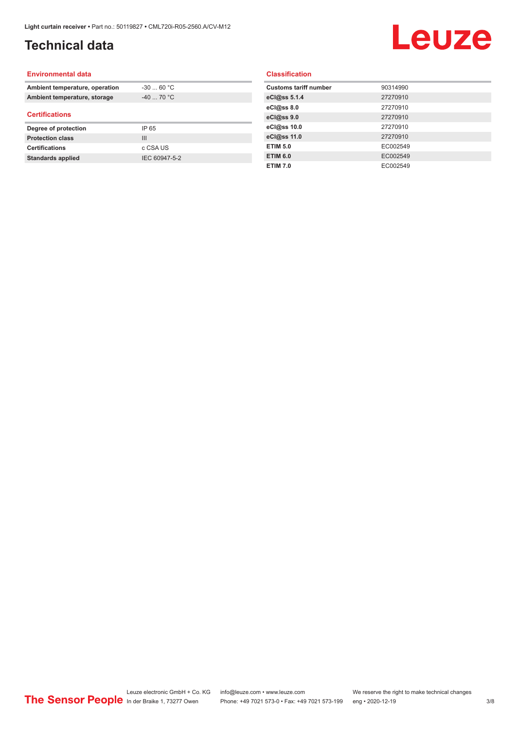# **Technical data**

# Leuze

#### **Environmental data**

| Ambient temperature, operation | $-30$ 60 °C |  |
|--------------------------------|-------------|--|
| Ambient temperature, storage   | $-40$ 70 °C |  |
| <b>Certifications</b>          |             |  |
|                                |             |  |
| Degree of protection           | IP 65       |  |
| <b>Protection class</b>        | Ш           |  |
| <b>Certifications</b>          | c CSA US    |  |

#### **Classification**

| <b>Customs tariff number</b> | 90314990 |
|------------------------------|----------|
| eCl@ss 5.1.4                 | 27270910 |
| eCl@ss 8.0                   | 27270910 |
| eCl@ss 9.0                   | 27270910 |
| eCl@ss 10.0                  | 27270910 |
| eCl@ss 11.0                  | 27270910 |
| <b>ETIM 5.0</b>              | EC002549 |
| <b>ETIM 6.0</b>              | EC002549 |
| <b>ETIM 7.0</b>              | EC002549 |
|                              |          |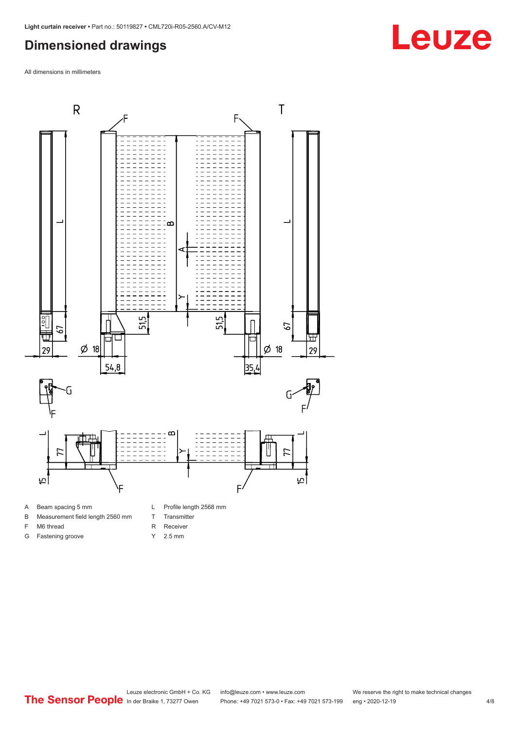### <span id="page-3-0"></span>**Dimensioned drawings**

All dimensions in millimeters



#### A Beam spacing 5 mm

- B Measurement field length 2560 mm
- F M6 thread
- G Fastening groove
- L Profile length 2568 mm
- T Transmitter
- R Receiver
- Y 2.5 mm

**Leuze**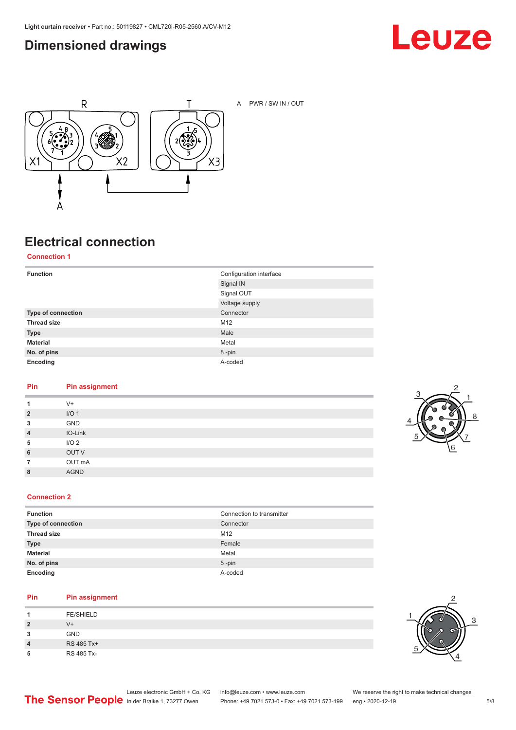### <span id="page-4-0"></span>**Dimensioned drawings**





A PWR / SW IN / OUT

# **Electrical connection**

**Connection 1**

| <b>Function</b>    | Configuration interface<br>Signal IN |
|--------------------|--------------------------------------|
|                    | Signal OUT                           |
|                    | Voltage supply                       |
| Type of connection | Connector                            |
| <b>Thread size</b> | M12                                  |
| <b>Type</b>        | Male                                 |
| <b>Material</b>    | Metal                                |
| No. of pins        | 8-pin                                |
| Encoding           | A-coded                              |

#### **Pin Pin assignment**

| 1              | $V +$            |
|----------------|------------------|
| $\overline{2}$ | I/O <sub>1</sub> |
| 3              | GND              |
| $\overline{4}$ | IO-Link          |
| 5              | I/O <sub>2</sub> |
| 6              | OUT V            |
| $\overline{7}$ | OUT mA           |
| 8              | <b>AGND</b>      |
|                |                  |



#### **Connection 2**

| <b>Function</b>    | Connection to transmitter |
|--------------------|---------------------------|
| Type of connection | Connector                 |
| <b>Thread size</b> | M12                       |
| <b>Type</b>        | Female                    |
| <b>Material</b>    | Metal                     |
| No. of pins        | $5$ -pin                  |
| Encoding           | A-coded                   |

#### **Pin Pin assignment**

| л              | <b>FE/SHIELD</b> |
|----------------|------------------|
| $\overline{2}$ | V+               |
| 3              | <b>GND</b>       |
| 4              | RS 485 Tx+       |
| 5              | RS 485 Tx-       |

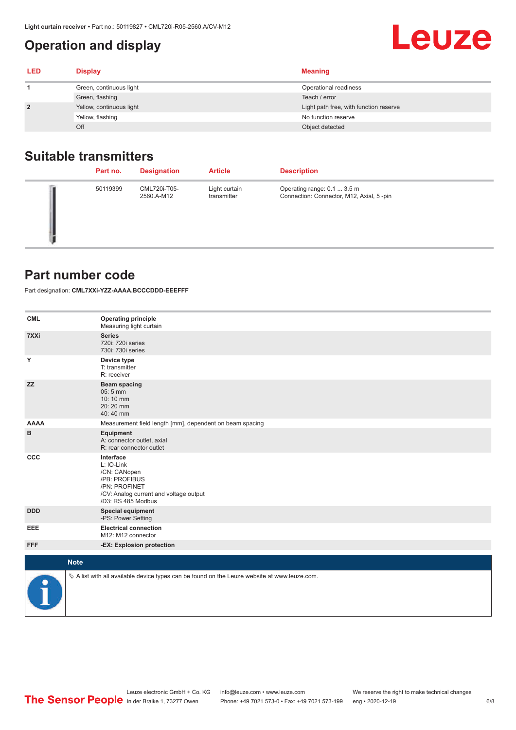## <span id="page-5-0"></span>**Operation and display**

| <b>LED</b> | <b>Display</b>           | <b>Meaning</b>                         |
|------------|--------------------------|----------------------------------------|
|            | Green, continuous light  | Operational readiness                  |
|            | Green, flashing          | Teach / error                          |
|            | Yellow, continuous light | Light path free, with function reserve |
|            | Yellow, flashing         | No function reserve                    |
|            | Off                      | Object detected                        |

### **Suitable transmitters**

| Part no. | <b>Designation</b>         | <b>Article</b>               | <b>Description</b>                                                       |
|----------|----------------------------|------------------------------|--------------------------------------------------------------------------|
| 50119399 | CML720i-T05-<br>2560.A-M12 | Light curtain<br>transmitter | Operating range: 0.1  3.5 m<br>Connection: Connector, M12, Axial, 5 -pin |

#### **Part number code**

Part designation: **CML7XXi-YZZ-AAAA.BCCCDDD-EEEFFF**

| <b>CML</b>  | <b>Operating principle</b><br>Measuring light curtain                                                                                     |
|-------------|-------------------------------------------------------------------------------------------------------------------------------------------|
| 7XXi        | <b>Series</b><br>720i: 720i series<br>730i: 730i series                                                                                   |
| Υ           | Device type<br>T: transmitter<br>R: receiver                                                                                              |
| <b>ZZ</b>   | <b>Beam spacing</b><br>$05:5$ mm<br>10:10 mm<br>20:20 mm<br>40:40 mm                                                                      |
| <b>AAAA</b> | Measurement field length [mm], dependent on beam spacing                                                                                  |
| в           | Equipment<br>A: connector outlet, axial<br>R: rear connector outlet                                                                       |
| CCC         | Interface<br>L: IO-Link<br>/CN: CANopen<br>/PB: PROFIBUS<br>/PN: PROFINET<br>/CV: Analog current and voltage output<br>/D3: RS 485 Modbus |
| <b>DDD</b>  | <b>Special equipment</b><br>-PS: Power Setting                                                                                            |
| <b>EEE</b>  | <b>Electrical connection</b><br>M12: M12 connector                                                                                        |
| <b>FFF</b>  | -EX: Explosion protection                                                                                                                 |
|             | <b>Note</b>                                                                                                                               |
| P           | $\&$ A list with all available device types can be found on the Leuze website at www.leuze.com.                                           |

Leuze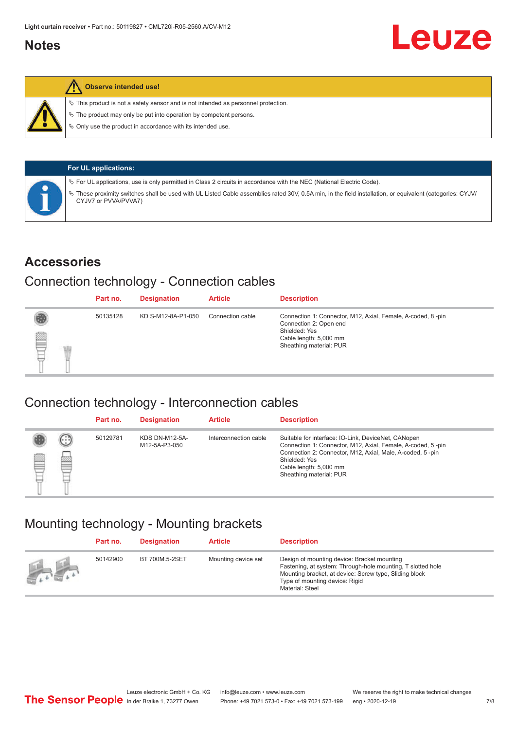#### <span id="page-6-0"></span>**Notes**



#### **Observe intended use!**

 $\%$  This product is not a safety sensor and is not intended as personnel protection.

 $\%$  The product may only be put into operation by competent persons.

 $\%$  Only use the product in accordance with its intended use.

| <b>For UL applications:</b>                                                                                                                                                     |
|---------------------------------------------------------------------------------------------------------------------------------------------------------------------------------|
| $\%$ For UL applications, use is only permitted in Class 2 circuits in accordance with the NEC (National Electric Code).                                                        |
| These proximity switches shall be used with UL Listed Cable assemblies rated 30V, 0.5A min, in the field installation, or equivalent (categories: CYJV/<br>CYJV7 or PVVA/PVVA7) |

#### **Accessories**

#### Connection technology - Connection cables

|   | Part no. | <b>Designation</b> | <b>Article</b>   | <b>Description</b>                                                                                                                                          |
|---|----------|--------------------|------------------|-------------------------------------------------------------------------------------------------------------------------------------------------------------|
| § | 50135128 | KD S-M12-8A-P1-050 | Connection cable | Connection 1: Connector, M12, Axial, Female, A-coded, 8-pin<br>Connection 2: Open end<br>Shielded: Yes<br>Cable length: 5,000 mm<br>Sheathing material: PUR |

#### Connection technology - Interconnection cables

|   |                   | Part no. | <b>Designation</b>                     | <b>Article</b>        | <b>Description</b>                                                                                                                                                                                                                                    |
|---|-------------------|----------|----------------------------------------|-----------------------|-------------------------------------------------------------------------------------------------------------------------------------------------------------------------------------------------------------------------------------------------------|
| e | $(\cdot$ : :<br>Þ | 50129781 | <b>KDS DN-M12-5A-</b><br>M12-5A-P3-050 | Interconnection cable | Suitable for interface: IO-Link, DeviceNet, CANopen<br>Connection 1: Connector, M12, Axial, Female, A-coded, 5-pin<br>Connection 2: Connector, M12, Axial, Male, A-coded, 5-pin<br>Shielded: Yes<br>Cable length: 5,000 mm<br>Sheathing material: PUR |

#### Mounting technology - Mounting brackets

|                                               | Part no. | <b>Designation</b> | <b>Article</b>      | <b>Description</b>                                                                                                                                                                                                        |
|-----------------------------------------------|----------|--------------------|---------------------|---------------------------------------------------------------------------------------------------------------------------------------------------------------------------------------------------------------------------|
| $\frac{1}{2}$ , $\frac{1}{2}$ , $\frac{1}{2}$ | 50142900 | BT 700M.5-2SET     | Mounting device set | Design of mounting device: Bracket mounting<br>Fastening, at system: Through-hole mounting, T slotted hole<br>Mounting bracket, at device: Screw type, Sliding block<br>Type of mounting device: Rigid<br>Material: Steel |

Leuze